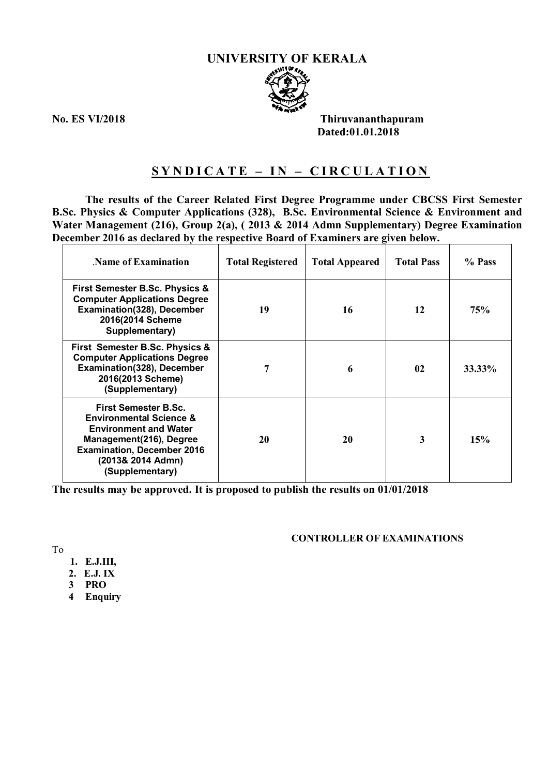#### **UNIVERSITY OF KERALA**



**No. ES VI/2018 Thiruvananthapuram Dated:01.01.2018**

# **S Y N D I C A T E – I N – C I R C U L A T I O N**

**The results of the Career Related First Degree Programme under CBCSS First Semester B.Sc. Physics & Computer Applications (328), B.Sc. Environmental Science & Environment and Water Management (216), Group 2(a), ( 2013 & 2014 Admn Supplementary) Degree Examination December 2016 as declared by the respective Board of Examiners are given below.**

| Name of Examination                                                                                                                                                                                       | <b>Total Registered</b> | <b>Total Appeared</b> | <b>Total Pass</b> | % Pass |
|-----------------------------------------------------------------------------------------------------------------------------------------------------------------------------------------------------------|-------------------------|-----------------------|-------------------|--------|
| <b>First Semester B.Sc. Physics &amp;</b><br><b>Computer Applications Degree</b><br>Examination(328), December<br>2016(2014 Scheme<br>Supplementary)                                                      | 19                      | 16                    | 12                | 75%    |
| First Semester B.Sc. Physics &<br><b>Computer Applications Degree</b><br>Examination(328), December<br>2016(2013 Scheme)<br>(Supplementary)                                                               |                         | 6                     | $\mathbf{02}$     | 33.33% |
| <b>First Semester B.Sc.</b><br><b>Environmental Science &amp;</b><br><b>Environment and Water</b><br>Management(216), Degree<br><b>Examination, December 2016</b><br>(2013& 2014 Admn)<br>(Supplementary) | 20                      | 20                    | 3                 | 15%    |

**The results may be approved. It is proposed to publish the results on 01/01/2018**

#### **CONTROLLER OF EXAMINATIONS**

To

- **1. E.J.III,**
- **2. E.J. IX**
- **3 PRO**
- **4 Enquiry**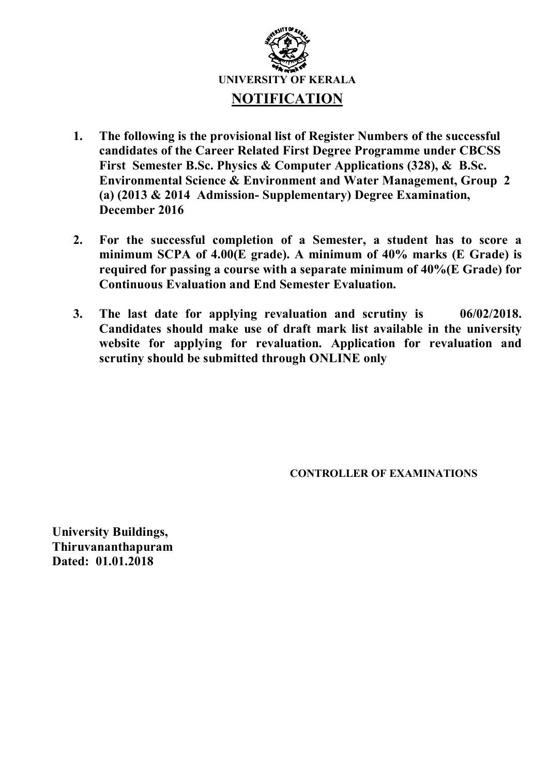

- **1. The following is the provisional list of Register Numbers of the successful candidates of the Career Related First Degree Programme under CBCSS First Semester B.Sc. Physics & Computer Applications (328), & B.Sc. Environmental Science & Environment and Water Management, Group 2 (a) (2013 & 2014 Admission- Supplementary) Degree Examination, December 2016**
- **2. For the successful completion of a Semester, a student has to score a minimum SCPA of 4.00(E grade). A minimum of 40% marks (E Grade) is required for passing a course with a separate minimum of 40%(E Grade) for Continuous Evaluation and End Semester Evaluation.**
- **3. The last date for applying revaluation and scrutiny is 06/02/2018. Candidates should make use of draft mark list available in the university website for applying for revaluation. Application for revaluation and scrutiny should be submitted through ONLINE only**

 **CONTROLLER OF EXAMINATIONS**

**University Buildings, Thiruvananthapuram Dated: 01.01.2018**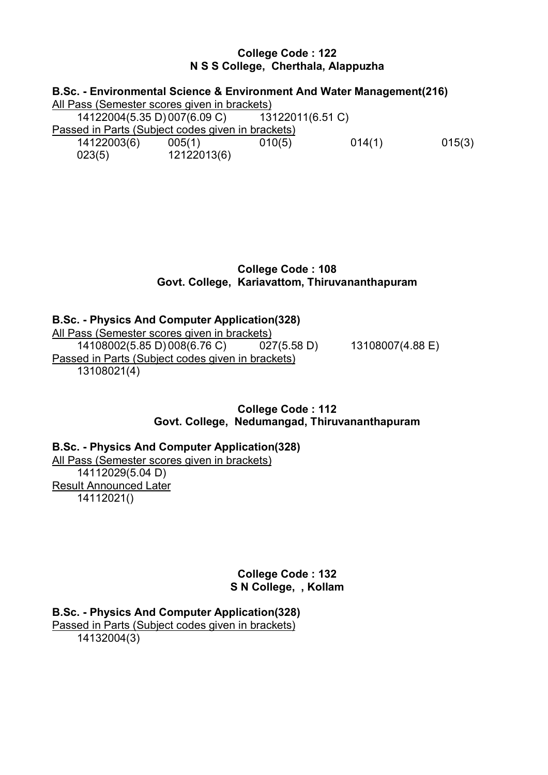### **College Code : 122 N S S College, Cherthala, Alappuzha**

| B.Sc. - Environmental Science & Environment And Water Management(216) |             |                  |        |        |  |  |
|-----------------------------------------------------------------------|-------------|------------------|--------|--------|--|--|
| All Pass (Semester scores given in brackets)                          |             |                  |        |        |  |  |
| 14122004(5.35 D) 007(6.09 C)                                          |             | 13122011(6.51 C) |        |        |  |  |
| Passed in Parts (Subject codes given in brackets)                     |             |                  |        |        |  |  |
| 14122003(6)                                                           | 005(1)      | 010(5)           | 014(1) | 015(3) |  |  |
| 023(5)                                                                | 12122013(6) |                  |        |        |  |  |

## **College Code : 108 Govt. College, Kariavattom, Thiruvananthapuram**

# **B.Sc. - Physics And Computer Application(328)** All Pass (Semester scores given in brackets)<br>14108002(5.85 D) 008(6.76 C) 02  $027(5.58 \text{ D})$  13108007(4.88 E) Passed in Parts (Subject codes given in brackets) 13108021(4)

## **College Code : 112 Govt. College, Nedumangad, Thiruvananthapuram**

# **B.Sc. - Physics And Computer Application(328)** All Pass (Semester scores given in brackets) 14112029(5.04 D) Result Announced Later 14112021()

**College Code : 132 S N College, , Kollam**

**B.Sc. - Physics And Computer Application(328)**

Passed in Parts (Subject codes given in brackets)

14132004(3)